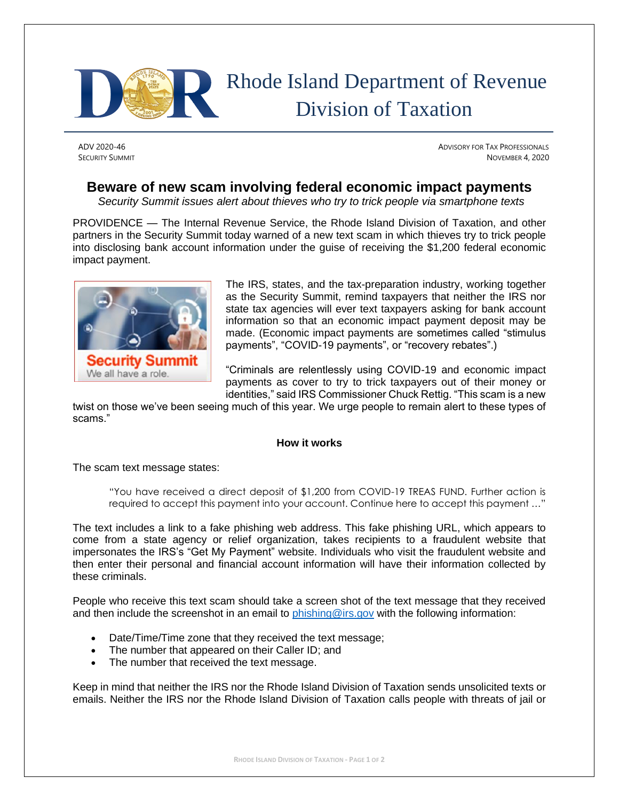

## Rhode Island Department of Revenue Division of Taxation

ADV 2020-46 **ADVISORY FOR TAX PROFESSIONALS SECURITY SUMMIT** NOVEMBER 4, 2020

## **Beware of new scam involving federal economic impact payments**

*Security Summit issues alert about thieves who try to trick people via smartphone texts*

PROVIDENCE — The Internal Revenue Service, the Rhode Island Division of Taxation, and other partners in the Security Summit today warned of a new text scam in which thieves try to trick people into disclosing bank account information under the guise of receiving the \$1,200 federal economic impact payment.



The IRS, states, and the tax-preparation industry, working together as the Security Summit, remind taxpayers that neither the IRS nor state tax agencies will ever text taxpayers asking for bank account information so that an economic impact payment deposit may be made. (Economic impact payments are sometimes called "stimulus payments", "COVID-19 payments", or "recovery rebates".)

"Criminals are relentlessly using COVID-19 and economic impact payments as cover to try to trick taxpayers out of their money or identities," said IRS Commissioner Chuck Rettig. "This scam is a new

twist on those we've been seeing much of this year. We urge people to remain alert to these types of scams."

## **How it works**

The scam text message states:

"You have received a direct deposit of \$1,200 from COVID-19 TREAS FUND. Further action is required to accept this payment into your account. Continue here to accept this payment …"

The text includes a link to a fake phishing web address. This fake phishing URL, which appears to come from a state agency or relief organization, takes recipients to a fraudulent website that impersonates the IRS's "Get My Payment" website. Individuals who visit the fraudulent website and then enter their personal and financial account information will have their information collected by these criminals.

People who receive this text scam should take a screen shot of the text message that they received and then include the screenshot in an email to [phishing@irs.gov](mailto:phishing@irs.gov) with the following information:

- Date/Time/Time zone that they received the text message;
- The number that appeared on their Caller ID; and
- The number that received the text message.

Keep in mind that neither the IRS nor the Rhode Island Division of Taxation sends unsolicited texts or emails. Neither the IRS nor the Rhode Island Division of Taxation calls people with threats of jail or